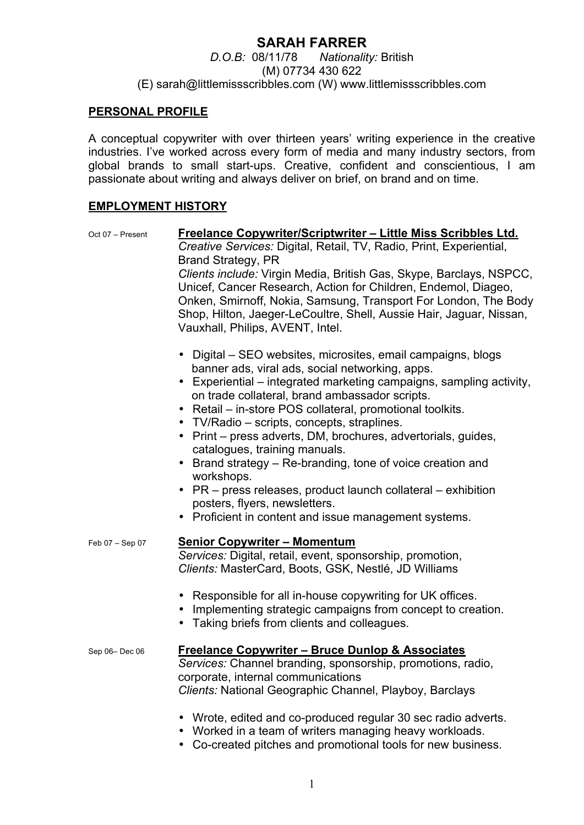# **SARAH FARRER**

*D.O.B:* 08/11/78 *Nationality:* British (M) 07734 430 622 (E) sarah@littlemissscribbles.com (W) www.littlemissscribbles.com

## **PERSONAL PROFILE**

A conceptual copywriter with over thirteen years' writing experience in the creative industries. I've worked across every form of media and many industry sectors, from global brands to small start-ups. Creative, confident and conscientious, I am passionate about writing and always deliver on brief, on brand and on time.

## **EMPLOYMENT HISTORY**

| Oct 07 - Present | <u>Freelance Copywriter/Scriptwriter – Little Miss Scribbles Ltd.</u><br>Creative Services: Digital, Retail, TV, Radio, Print, Experiential,                                                                                                                                                                                                                                                                                                                                                                                                                                                                                                                                                |
|------------------|---------------------------------------------------------------------------------------------------------------------------------------------------------------------------------------------------------------------------------------------------------------------------------------------------------------------------------------------------------------------------------------------------------------------------------------------------------------------------------------------------------------------------------------------------------------------------------------------------------------------------------------------------------------------------------------------|
|                  | <b>Brand Strategy, PR</b><br>Clients include: Virgin Media, British Gas, Skype, Barclays, NSPCC,<br>Unicef, Cancer Research, Action for Children, Endemol, Diageo,<br>Onken, Smirnoff, Nokia, Samsung, Transport For London, The Body<br>Shop, Hilton, Jaeger-LeCoultre, Shell, Aussie Hair, Jaguar, Nissan,<br>Vauxhall, Philips, AVENT, Intel.                                                                                                                                                                                                                                                                                                                                            |
|                  | • Digital – SEO websites, microsites, email campaigns, blogs<br>banner ads, viral ads, social networking, apps.<br>• Experiential – integrated marketing campaigns, sampling activity,<br>on trade collateral, brand ambassador scripts.<br>Retail – in-store POS collateral, promotional toolkits.<br>• TV/Radio – scripts, concepts, straplines.<br>• Print – press adverts, DM, brochures, advertorials, guides,<br>catalogues, training manuals.<br>• Brand strategy – Re-branding, tone of voice creation and<br>workshops.<br>• PR – press releases, product launch collateral – exhibition<br>posters, flyers, newsletters.<br>• Proficient in content and issue management systems. |
| Feb 07 - Sep 07  | <b>Senior Copywriter - Momentum</b><br>Services: Digital, retail, event, sponsorship, promotion,<br>Clients: MasterCard, Boots, GSK, Nestlé, JD Williams<br>• Responsible for all in-house copywriting for UK offices.<br>• Implementing strategic campaigns from concept to creation.<br>• Taking briefs from clients and colleagues.                                                                                                                                                                                                                                                                                                                                                      |
| Sep 06-Dec 06    | <b>Freelance Copywriter - Bruce Dunlop &amp; Associates</b><br>Services: Channel branding, sponsorship, promotions, radio,<br>corporate, internal communications                                                                                                                                                                                                                                                                                                                                                                                                                                                                                                                            |

*Clients:* National Geographic Channel, Playboy, Barclays

- Wrote, edited and co-produced regular 30 sec radio adverts.
- Worked in a team of writers managing heavy workloads.
- Co-created pitches and promotional tools for new business.